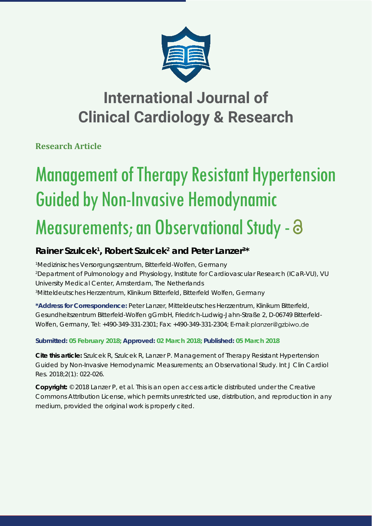

### **International Journal of Clinical Cardiology & Research**

**Research Article**

# Management of Therapy Resistant Hypertension Guided by Non-Invasive Hemodynamic

## Measurements; an Observational Study -  $\partial$

### Rainer Szulcek<sup>1</sup>, Robert Szulcek<sup>2</sup> and Peter Lanzer<sup>3\*</sup>

 *Medizinisches Versorgungszentrum, Bitterfeld-Wolfen, Germany Department of Pulmonology and Physiology, Institute for Cardiovascular Research (ICaR-VU), VU University Medical Center, Amsterdam, The Netherlands Mitteldeutsches Herzzentrum, Klinikum Bitterfeld, Bitterfeld Wolfen, Germany*

**\*Address for Correspondence:** Peter Lanzer, Mitteldeutsches Herzzentrum, Klinikum Bitterfeld, Gesundheitszentrum Bitterfeld-Wolfen gGmbH, Friedrich-Ludwig-Jahn-Straße 2, D-06749 Bitterfeld-Wolfen, Germany, Tel: +490-349-331-2301; Fax: +490-349-331-2304; E-mail:

### **Submitted: 05 February 2018; Approved: 02 March 2018; Published: 05 March 2018**

**Cite this article:** Szulcek R, Szulcek R, Lanzer P. Management of Therapy Resistant Hypertension Guided by Non-Invasive Hemodynamic Measurements; an Observational Study. Int J Clin Cardiol Res. 2018;2(1): 022-026.

**Copyright:** © 2018 Lanzer P, et al. This is an open access article distributed under the Creative Commons Attribution License, which permits unrestricted use, distribution, and reproduction in any medium, provided the original work is properly cited.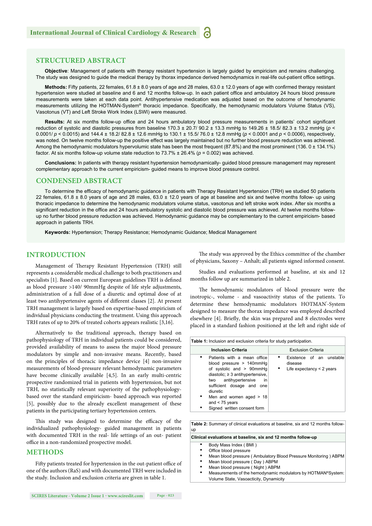#### **STRUCTURED ABSTRACT**

**Objective**: Management of patients with therapy resistant hypertension is largely guided by empiricism and remains challenging. The study was designed to guide the medical therapy by thorax impedance derived hemodynamics in real-life out-patient office settings.

Methods: Fifty patients, 22 females, 61.8 ± 8.0 years of age and 28 males, 63.0 ± 12.0 years of age with confirmed therapy resistant hypertension were studied at baseline and 6 and 12 months follow-up. In each patient office and ambulatory 24 hours blood pressure measurements were taken at each data point. Antihypertensive medication was adjusted based on the outcome of hemodynamic measurements utilizing the HOTMAN-System® thoracic impedance. Specifically, the hemodynamic modulators Volume Status (VS), Vasotonus (VT) and Left Stroke Work Index (LSWI) were measured.

Results: At six months follow-up office and 24 hours ambulatory blood pressure measurements in patients' cohort significant reduction of systolic and diastolic pressures from baseline 170.3 ± 20.7/ 90.2 ± 13.3 mmHg to 149.26 ± 18.5/ 82.3 ± 13.2 mmHg (*p* < 0.0001/ *p* < 0.0015) and 144.4 ± 18.2/ 82.8 ± 12.6 mmHg to 130.1 ± 15.5/ 76.0 ± 12.8 mmHg (*p* < 0.0001 and *p* < 0.0006), respectively, was noted. On twelve months follow-up the positive effect was largely maintained but no further blood pressure reduction was achieved. Among the hemodynamic modulators hypervolumic state has been the most frequent (87.8%) and the most prominent (136. 0 ± 134.1%) factor. At six months follow-up volume state reduction to 73.7% ± 26.4% (*p* = 0.002) was achieved.

**Conclusions:** In patients with therapy resistant hypertension hemodynamically- guided blood pressure management may represent complementary approach to the current empiricism- guided means to improve blood pressure control.

#### **CONDENSED ABSTRACT**

To determine the efficacy of hemodynamic guidance in patients with Therapy Resistant Hypertension (TRH) we studied 50 patients 22 females, 61.8 ± 8.0 years of age and 28 males, 63.0 ± 12.0 years of age at baseline and six and twelve months follow- up using thoracic impedance to determine the hemodynamic modulators volume status, vasotonus and left stroke work index. After six months a significant reduction in the office and 24 hours ambulatory systolic and diastolic blood pressure was achieved. At twelve months followup no further blood pressure reduction was achieved. Hemodynamic guidance may be complementary to the current empiricism- based approach in patients TRH.

**Keywords:** Hypertension; Therapy Resistance; Hemodynamic Guidance; Medical Management

#### **INTRODUCTION**

Management of Therapy Resistant Hypertension (TRH) still represents a considerable medical challenge to both practitioners and specialists [1]. Based on current European guidelines TRH is defined as blood pressure >140/ 90mmHg despite of life style adjustments, administration of a full dose of a diuretic and optimal dose of at least two antihypertensive agents of different classes [2]. At present TRH management is largely based on expertise-based empiricism of individual physicians conducting the treatment. Using this approach TRH rates of up to 20% of treated cohorts appears realistic [3,16].

Alternatively to the traditional approach, therapy based on pathophysiology of TRH in individual patients could be considered, provided availability of means to assess the major blood pressure modulators by simple and non-invasive means. Recently, based on the principles of thoracic impedance device [4] non-invasive measurements of blood-pressure relevant hemodynamic parameters have become clinically available [4,5]. In an early multi-centric prospective randomized trial in patients with hypertension, but not TRH, no statistically relevant superiority of the pathophysiologybased over the standard empiricism- based approach was reported [5], possibly due to the already excellent management of these patients in the participating tertiary hypertension centers.

This study was designed to determine the efficacy of the individualized pathophysiology- guided management in patients with documented TRH in the real- life settings of an out- patient office in a non-randomized prospective model.

#### **METHODS**

Fifty patients treated for hypertension in the out-patient office of one of the authors (RaS) and with documented TRH were included in the study. Inclusion and exclusion criteria are given in table 1.

The study was approved by the Ethics committee of the chamber of physicians, Saxony – Anhalt; all patients signed informed consent.

Studies and evaluations performed at baseline, at six and 12 months follow up are summarized in table 2.

The hemodynamic modulators of blood pressure were the inotropic-, volume - and vasoactivity status of the patients. To determine these hemodynamic modulators HOTMAN'-System designed to measure the thorax impedance was employed described elsewhere [4]. Briefly, the skin was prepared and 8 electrodes were placed in a standard fashion positioned at the left and right side of

| <b>Table 1:</b> Inclusion and exclusion criteria for study participation.                                                                                                                                                                                                                           |                                                                            |  |  |  |
|-----------------------------------------------------------------------------------------------------------------------------------------------------------------------------------------------------------------------------------------------------------------------------------------------------|----------------------------------------------------------------------------|--|--|--|
| <b>Inclusion Criteria</b>                                                                                                                                                                                                                                                                           | <b>Exclusion Criteria</b>                                                  |  |  |  |
| ٠<br>Patients with a mean office<br>blood pressure $> 140$ mmHq<br>of systolic and $> 90$ mmHq<br>diastolic; $\geq$ 3 antihypertensive,<br>two antihypertensive<br>in<br>sufficient dosage and one<br>diuretic<br>٠<br>Men and women aged $> 18$<br>and $<$ 75 years<br>Signed written consent form | Existence of an unstable<br>disease<br>٠<br>Life expectancy $\leq$ 2 years |  |  |  |

**Table 2:** Summary of clinical evaluations at baseline, six and 12 months followup

- **Clinical evaluations at baseline, six and 12 months follow-up**
	- Body Mass Index ( BMI )
	- Office blood pressure
	- Mean blood pressure ( Ambulatory Blood Pressure Monitoring ) ABPM
	- Mean blood pressure ( Day ) ABPM
	- Mean blood pressure ( Night ) ABPM
	- Measurements of the hemodynamic modulators by HOTMAN®System: Volume State, Vasoacticity, Dynamicity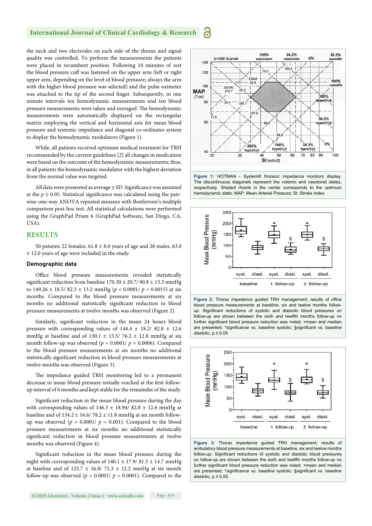#### **International Journal of Clinical Cardiology & Research** 6

the neck and two electrodes on each side of the thorax and signal quality was controlled. To perform the measurements the patients were placed in recumbent position. Following 10 minutes of rest the blood pressure cuff was fastened on the upper arm (left or right upper arm, depending on the level of blood pressure; always the arm with the higher blood pressure was selected) and the pulse oximeter was attached to the tip of the second finger. Subsequently, in one minute intervals ten hemodynamic measurements and ten blood pressure measurements were taken and averaged. The hemodynamic measurements were automatically displayed on the rectangular matrix employing the vertical and horizontal axis for mean blood pressure and systemic impedance and diagonal co-ordinates system to display the hemodynamic modulators (Figure 1).

While, all patients received optimum medical treatment for TRH recommended by the current guidelines [2] all changes in medication were based on the outcome of the hemodynamic measurements; thus, in all patients the hemodynamic modulator with the highest deviation from the normal value was targeted.

All data were presented as average  $\pm$  SD. Significance was assumed at the  $p \le 0.05$ . Statistical significance was calculated using the pairwise-one-way ANOVA repeated measure with Bonferroni's multiple comparison post-hoc test. All statistical calculations were performed using the GraphPad Prism 6 (GraphPad Software, San Diego, CA, USA).

#### **RESULTS**

50 patients 22 females,  $61.8 \pm 8.0$  years of age and 28 males,  $63.0$ ± 12.0 years of age were included in the study.

#### **Demographic data**

Office blood pressure measurements revealed statistically significant reduction from baseline  $170.30 \pm 20.7/90.8 \pm 13.3$  mmHg to  $149.26 \pm 18.5/82.3 \pm 13.2$  mmHg ( $p < 0.0001/ p < 0.0015$ ) at six months. Compared to the blood pressure measurements at six months no additional statistically significant reduction in blood pressure measurements at twelve months was observed (Figure 2).

Similarly, significant reduction in the mean 24 hours blood pressure with corresponding values of 144.4 ± 18.2/ 82.8 ± 12.6 mmHg at baseline and of  $130.1 \pm 15.5/ 76.2 \pm 12.8$  mmHg at six month follow-up was observed ( $p = 0.0001/p = 0.0006$ ). Compared to the blood pressure measurements at six months no additional statistically significant reduction in blood pressure measurements at twelve months was observed (Figure 3).

The impedance guided TRH monitoring led to a permanent decrease in mean blood pressure initially reached at the first followup interval of 6 months and kept stable for the remainder of the study.

Significant reduction in the mean blood pressure during the day with corresponding values of  $146.3 \pm 18.94/ 82.8 \pm 12.6$  mmHg at baseline and of  $134.2 \pm 16.6/ 78.2 \pm 11.8$  mmHg at six month followup was observed ( $p = 0.0001/p = 0.001$ ). Compared to the blood pressure measurements at six months no additional statistically significant reduction in blood pressure measurements at twelve months was observed (Figure 4).

Significant reduction in the mean blood pressure during the night with corresponding values of  $140.1 \pm 17.9/ 81.5 \pm 14.7$  mmHg at baseline and of 125.7  $\pm$  16.8/ 71.3  $\pm$  12.2 mmHg at six month follow-up was observed ( $p = 0.0001/ p = 0.0001$ ). Compared to the





**Figure 1:** HOTMAN - System® thoracic impedance monitors display. The discontinuous diagonals represent the volemic and vasotonal states, respectively. Shaded rhomb in the center corresponds to the optimum hemodynamic state; MAP: Mean Arterial Pressure; SI: Stroke Index.







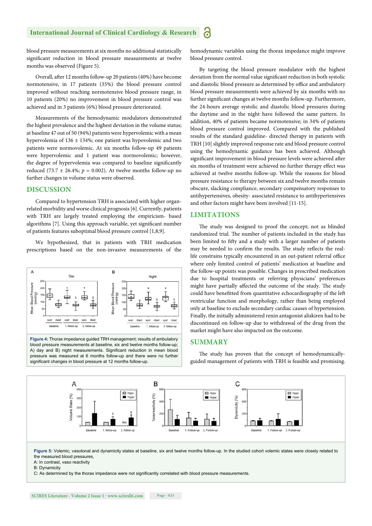blood pressure measurements at six months no additional statistically significant reduction in blood pressure measurements at twelve months was observed (Figure 5).

Overall, after 12 months follow-up 20 patients (40%) have become normotensive, in 17 patients (35%) the blood pressure control improved without reaching normotensive blood pressure range, in 10 patients (20%) no improvement in blood pressure control was achieved and in 3 patients (6%) blood pressure deteriorated.

Measurements of the hemodynamic modulators demonstrated the highest prevalence and the highest deviation in the volume status; at baseline 47 out of 50 (94%) patients were hypervolemic with a mean hypervolemia of 136 ± 134%; one patient was hypovolemic and two patients were normovolemic. At six months follow-up 49 patients were hypervolemic and 1 patient was normovolemic; however, the degree of hypervolemia was compared to baseline significantly reduced (73.7  $\pm$  26.4%;  $p = 0.002$ ). At twelve months follow-up no further changes in volume status were observed.

#### **DISCUSSION**

Compared to hypertension TRH is associated with higher organrelated morbidity and worse clinical prognosis [6]. Currently, patients with TRH are largely treated employing the empiricism- based algorithms [7]. Using this approach variable, yet significant number of patients features suboptimal blood pressure control [1,8,9].

We hypothesized, that in patients with TRH medication prescriptions based on the non-invasive measurements of the



blood pressure measurements at baseline, six and twelve months follow-up; A) day and B) night measurements. Significant reduction in mean blood pressure was measured at 6 months follow-up and there were no further significant changes in blood pressure at 12 months follow-up.

hemodynamic variables using the thorax impedance might improve blood pressure control.

By targeting the blood pressure modulator with the highest deviation from the normal value significant reduction in both systolic and diastolic blood pressure as determined by office and ambulatory blood pressure measurements were achieved by six months with no further significant changes at twelve months follow-up. Furthermore, the 24-hours average systolic and diastolic blood pressures during the daytime and in the night have followed the same pattern. In addition, 40% of patients became normotensive; in 34% of patients blood pressure control improved. Compared with the published results of the standard guideline- directed therapy in patients with TRH [10] slightly improved response rate and blood pressure control using the hemodynamic guidance has been achieved. Although significant improvement in blood pressure levels were achieved after six months of treatment were achieved no further therapy effect was achieved at twelve months follow-up. While the reasons for blood pressure resistance to therapy between six and twelve months remain obscure, slacking compliance, secondary compensatory responses to antihypertensives, obesity- associated resistance to antihypertensives and other factors might have been involved [11-15].

#### **LIMITATIONS**

The study was designed to proof the concept; not as blinded randomized trial. The number of patients included in the study has been limited to fifty and a study with a larger number of patients may be needed to confirm the results. The study reflects the reallife constrains typically encountered in an out-patient referral office where only limited control of patients' medication at baseline and the follow-up points was possible. Changes in prescribed medication due to hospital treatments or referring physicians' preferences might have partially affected the outcome of the study. The study could have benefitted from quantitative echocardiography of the left ventricular function and morphology, rather than being employed only at baseline to exclude secondary cardiac causes of hypertension. Finally, the initially administered renin antagonist aliskiren had to be discontinued on follow-up due to withdrawal of the drug from the market might have also impacted on the outcome.

#### **SUMMARY**

The study has proven that the concept of hemodynamicallyguided management of patients with TRH is feasible and promising.



**Figure 5:** Volemic, vasotonal and dynamicity states at baseline, six and twelve months follow-up. In the studied cohort volemic states were closely related to the measured blood pressures,

A: In contrast, vaso reactivity

B: Dynamicity

C: As determined by the thorax impedance were not significantly correlated with blood pressure measurements.